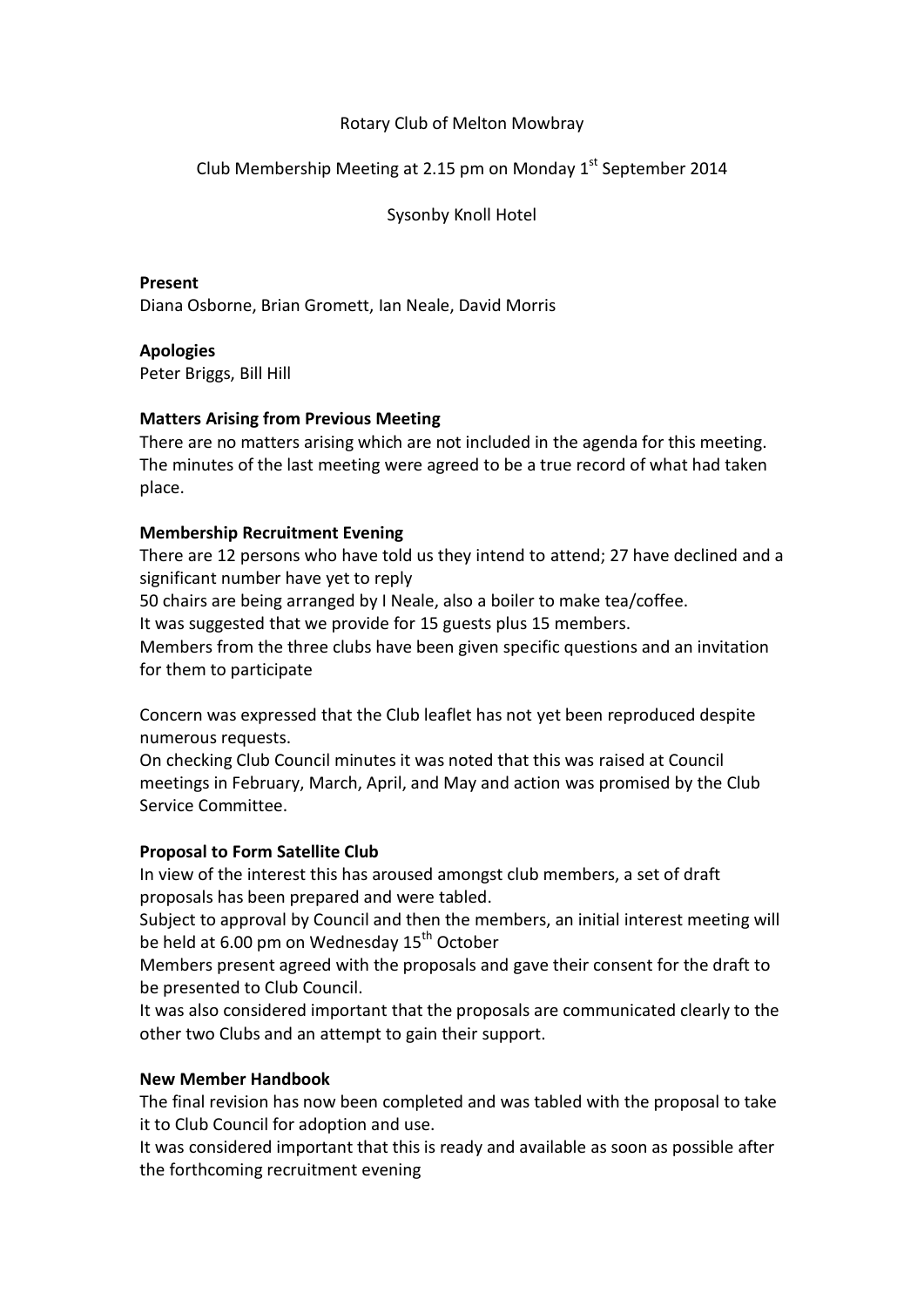# Rotary Club of Melton Mowbray

# Club Membership Meeting at 2.15 pm on Monday 1<sup>st</sup> September 2014

Sysonby Knoll Hotel

# **Present**

Diana Osborne, Brian Gromett, Ian Neale, David Morris

# **Apologies**

Peter Briggs, Bill Hill

# **Matters Arising from Previous Meeting**

There are no matters arising which are not included in the agenda for this meeting. The minutes of the last meeting were agreed to be a true record of what had taken place.

# **Membership Recruitment Evening**

There are 12 persons who have told us they intend to attend; 27 have declined and a significant number have yet to reply

50 chairs are being arranged by I Neale, also a boiler to make tea/coffee.

It was suggested that we provide for 15 guests plus 15 members.

Members from the three clubs have been given specific questions and an invitation for them to participate

Concern was expressed that the Club leaflet has not yet been reproduced despite numerous requests.

On checking Club Council minutes it was noted that this was raised at Council meetings in February, March, April, and May and action was promised by the Club Service Committee.

# **Proposal to Form Satellite Club**

In view of the interest this has aroused amongst club members, a set of draft proposals has been prepared and were tabled.

Subject to approval by Council and then the members, an initial interest meeting will be held at 6.00 pm on Wednesday  $15<sup>th</sup>$  October

Members present agreed with the proposals and gave their consent for the draft to be presented to Club Council.

It was also considered important that the proposals are communicated clearly to the other two Clubs and an attempt to gain their support.

# **New Member Handbook**

The final revision has now been completed and was tabled with the proposal to take it to Club Council for adoption and use.

It was considered important that this is ready and available as soon as possible after the forthcoming recruitment evening